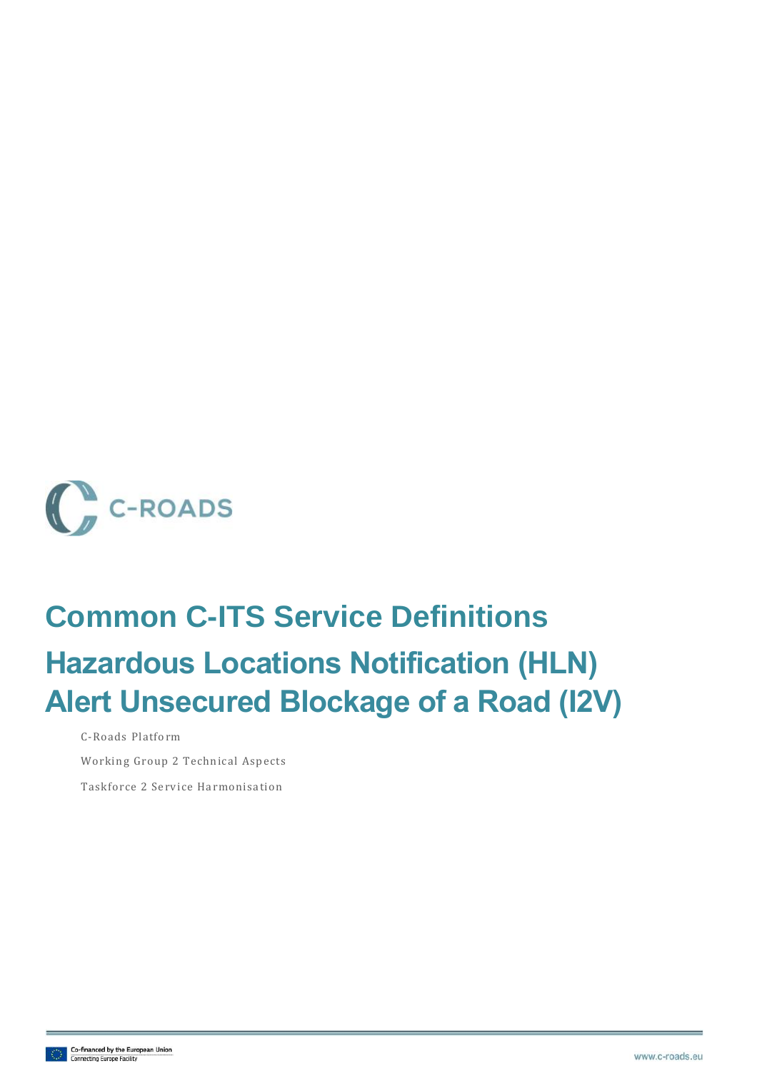

# **Common C-ITS Service Definitions Hazardous Locations Notification (HLN) Alert Unsecured Blockage of a Road (I2V)**

C-Roads Platform

Working Group 2 Technical Aspects

Taskforce 2 Service Harmonisation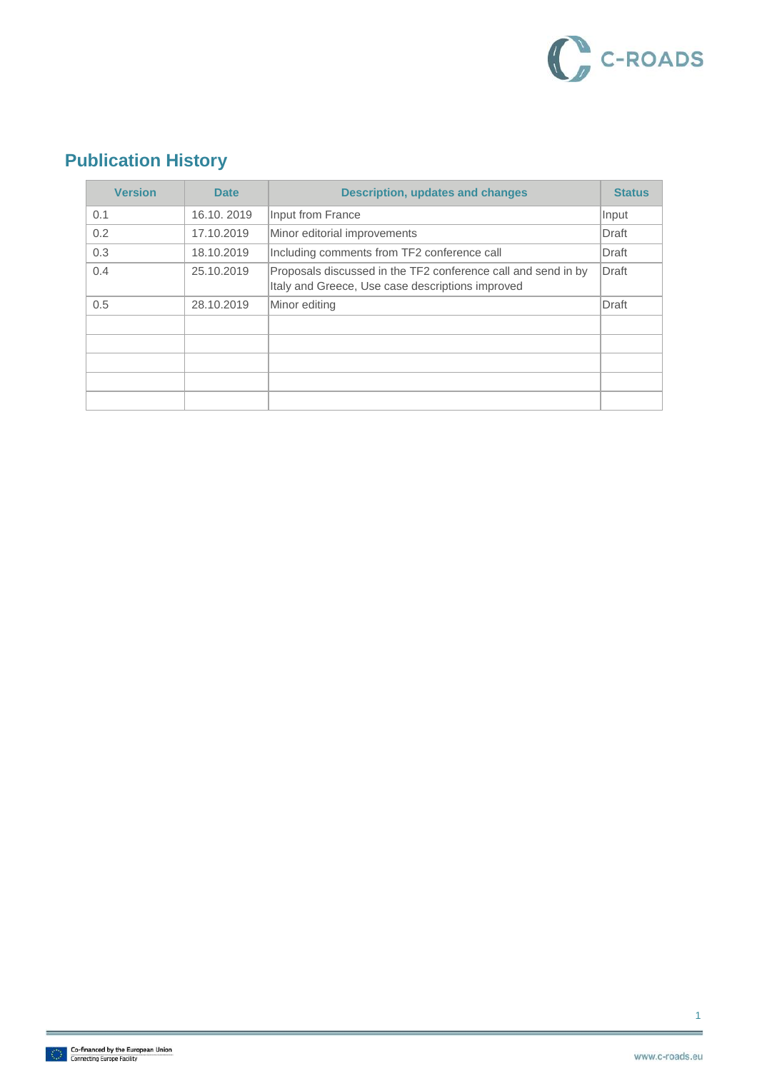

### **Publication History**

| <b>Version</b> | <b>Date</b> | <b>Description, updates and changes</b>                                                                           | <b>Status</b> |
|----------------|-------------|-------------------------------------------------------------------------------------------------------------------|---------------|
| 0.1            | 16.10.2019  | Input from France                                                                                                 | Input         |
| 0.2            | 17.10.2019  | Minor editorial improvements                                                                                      | Draft         |
| 0.3            | 18.10.2019  | Including comments from TF2 conference call                                                                       | Draft         |
| 0.4            | 25.10.2019  | Proposals discussed in the TF2 conference call and send in by<br>Italy and Greece, Use case descriptions improved | Draft         |
| 0.5            | 28.10.2019  | Minor editing                                                                                                     | <b>Draft</b>  |
|                |             |                                                                                                                   |               |
|                |             |                                                                                                                   |               |
|                |             |                                                                                                                   |               |
|                |             |                                                                                                                   |               |
|                |             |                                                                                                                   |               |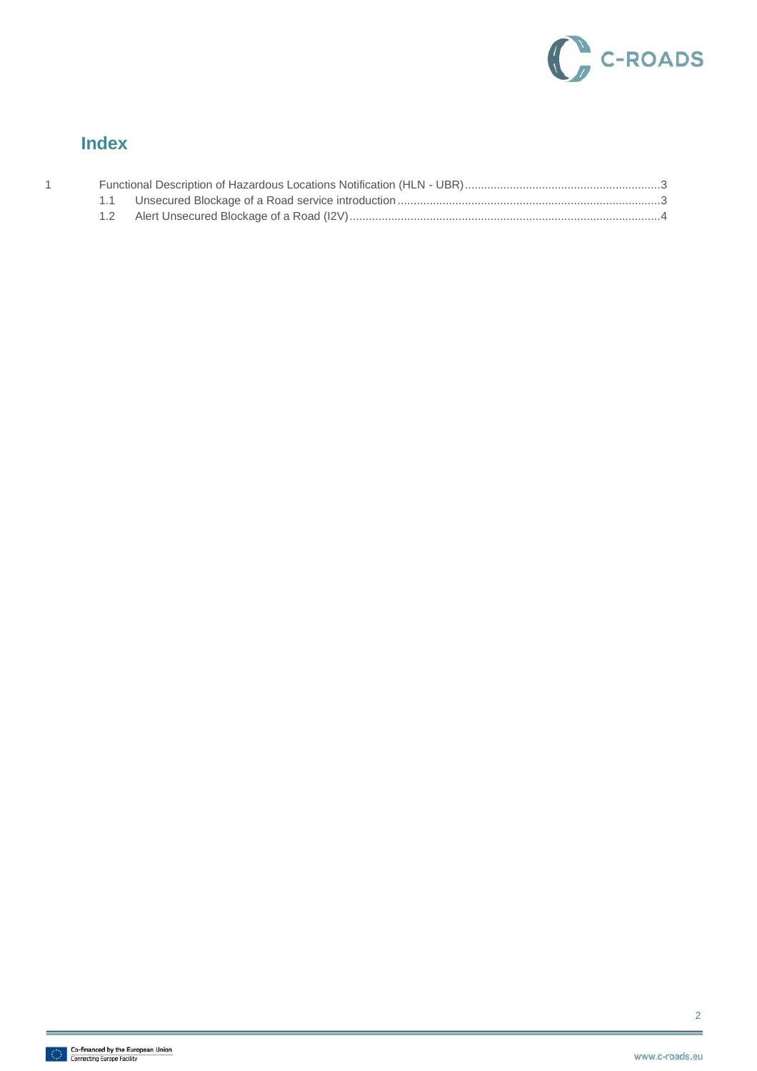

#### **Index**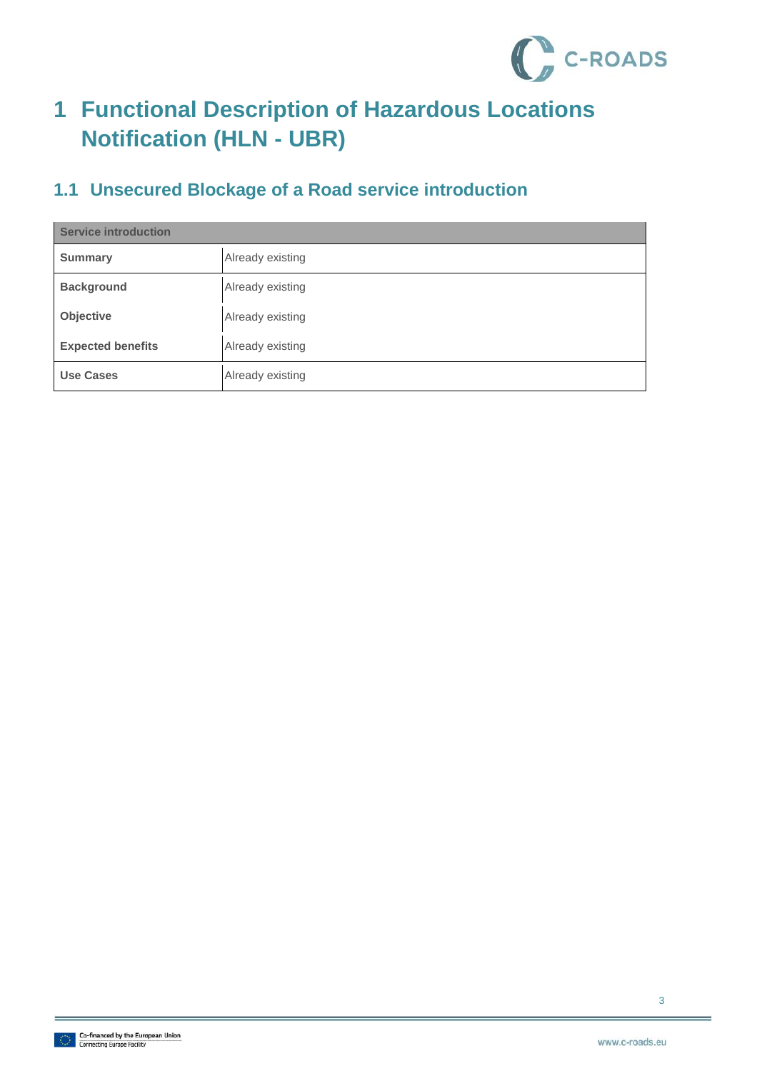

# <span id="page-3-0"></span>**1 Functional Description of Hazardous Locations Notification (HLN - UBR)**

### <span id="page-3-1"></span>**1.1 Unsecured Blockage of a Road service introduction**

| <b>Service introduction</b> |                  |  |
|-----------------------------|------------------|--|
| <b>Summary</b>              | Already existing |  |
| <b>Background</b>           | Already existing |  |
| Objective                   | Already existing |  |
| <b>Expected benefits</b>    | Already existing |  |
| <b>Use Cases</b>            | Already existing |  |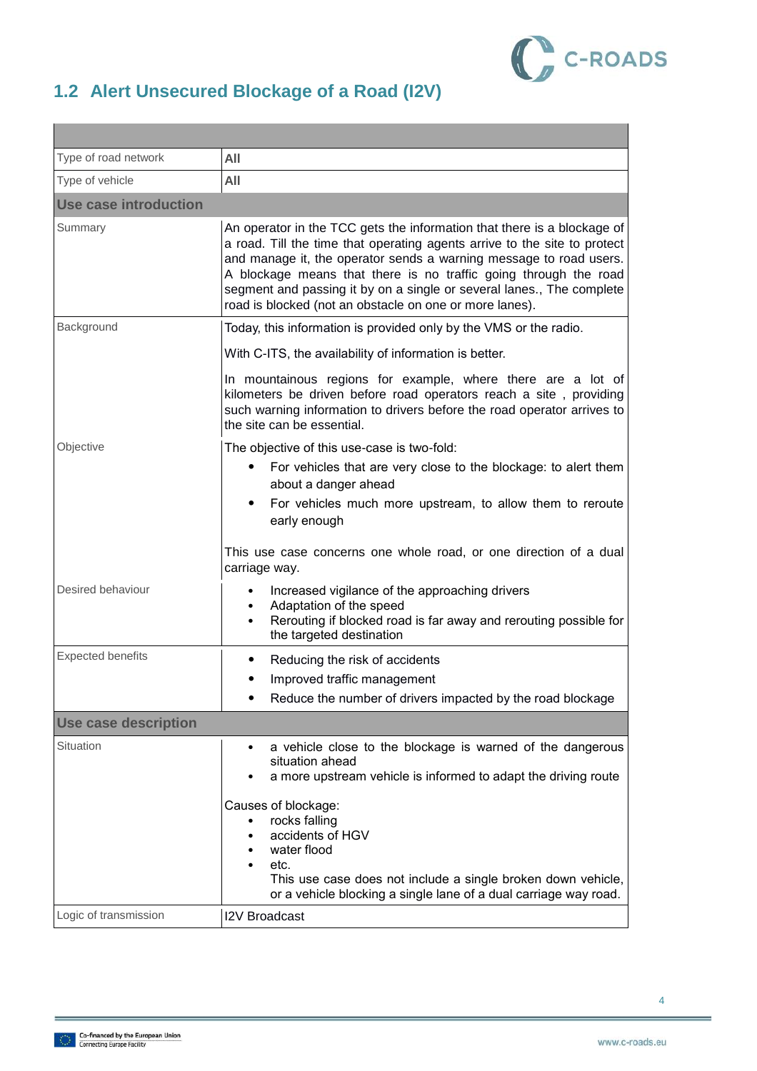

## <span id="page-4-0"></span>**1.2 Alert Unsecured Blockage of a Road (I2V)**

| Type of road network         | All                                                                                                                                                                                                                                                                                                                                                                                                                                |  |
|------------------------------|------------------------------------------------------------------------------------------------------------------------------------------------------------------------------------------------------------------------------------------------------------------------------------------------------------------------------------------------------------------------------------------------------------------------------------|--|
| Type of vehicle              | All                                                                                                                                                                                                                                                                                                                                                                                                                                |  |
| <b>Use case introduction</b> |                                                                                                                                                                                                                                                                                                                                                                                                                                    |  |
| Summary                      | An operator in the TCC gets the information that there is a blockage of<br>a road. Till the time that operating agents arrive to the site to protect<br>and manage it, the operator sends a warning message to road users.<br>A blockage means that there is no traffic going through the road<br>segment and passing it by on a single or several lanes., The complete<br>road is blocked (not an obstacle on one or more lanes). |  |
| Background                   | Today, this information is provided only by the VMS or the radio.                                                                                                                                                                                                                                                                                                                                                                  |  |
|                              | With C-ITS, the availability of information is better.                                                                                                                                                                                                                                                                                                                                                                             |  |
|                              | In mountainous regions for example, where there are a lot of<br>kilometers be driven before road operators reach a site, providing<br>such warning information to drivers before the road operator arrives to<br>the site can be essential.                                                                                                                                                                                        |  |
| Objective                    | The objective of this use-case is two-fold:                                                                                                                                                                                                                                                                                                                                                                                        |  |
|                              | For vehicles that are very close to the blockage: to alert them<br>about a danger ahead                                                                                                                                                                                                                                                                                                                                            |  |
|                              | For vehicles much more upstream, to allow them to reroute<br>early enough                                                                                                                                                                                                                                                                                                                                                          |  |
|                              | This use case concerns one whole road, or one direction of a dual<br>carriage way.                                                                                                                                                                                                                                                                                                                                                 |  |
| Desired behaviour            | Increased vigilance of the approaching drivers<br>Adaptation of the speed<br>Rerouting if blocked road is far away and rerouting possible for<br>the targeted destination                                                                                                                                                                                                                                                          |  |
| <b>Expected benefits</b>     | Reducing the risk of accidents                                                                                                                                                                                                                                                                                                                                                                                                     |  |
|                              | Improved traffic management                                                                                                                                                                                                                                                                                                                                                                                                        |  |
|                              | Reduce the number of drivers impacted by the road blockage                                                                                                                                                                                                                                                                                                                                                                         |  |
| <b>Use case description</b>  |                                                                                                                                                                                                                                                                                                                                                                                                                                    |  |
| Situation                    | a vehicle close to the blockage is warned of the dangerous<br>٠<br>situation ahead<br>a more upstream vehicle is informed to adapt the driving route                                                                                                                                                                                                                                                                               |  |
|                              | Causes of blockage:<br>rocks falling<br>accidents of HGV<br>water flood<br>etc.                                                                                                                                                                                                                                                                                                                                                    |  |
|                              | This use case does not include a single broken down vehicle,<br>or a vehicle blocking a single lane of a dual carriage way road.                                                                                                                                                                                                                                                                                                   |  |
| Logic of transmission        | <b>I2V Broadcast</b>                                                                                                                                                                                                                                                                                                                                                                                                               |  |

4